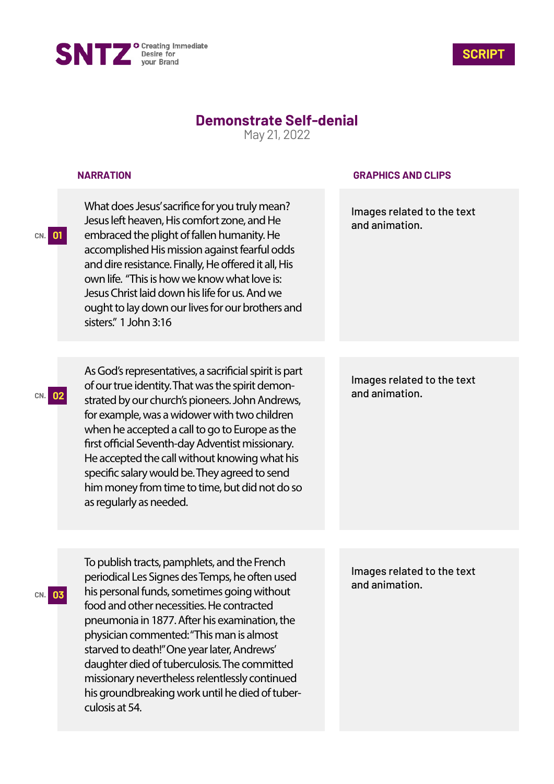



## **Demonstrate Self-denial**

May 21, 2022

## **NARRATION**

**CN. 01**

**CN. 03**

What does Jesus' sacrifice for you truly mean? Jesus left heaven, His comfort zone, and He embraced the plight of fallen humanity. He accomplished His mission against fearful odds and dire resistance. Finally, He offered it all, His own life. "This is how we know what love is: Jesus Christ laid down his life for us. And we ought to lay down our lives for our brothers and sisters" 1 John 3:16

**CN. 02** and animation. strated by our church's pioneers. John Andrews, As God's representatives, a sacrificial spirit is part of our true identity. That was the spirit demonfor example, was a widower with two children when he accepted a call to go to Europe as the first official Seventh-day Adventist missionary. He accepted the call without knowing what his specific salary would be. They agreed to send him money from time to time, but did not do so as regularly as needed.

**GRAPHICS AND CLIPS**

Images related to the text and animation.

Images related to the text

To publish tracts, pamphlets, and the French periodical Les Signes des Temps, he often used his personal funds, sometimes going without food and other necessities. He contracted pneumonia in 1877. After his examination, the physician commented: "This man is almost starved to death!" One year later, Andrews' daughter died of tuberculosis. The committed missionary nevertheless relentlessly continued his groundbreaking work until he died of tuberculosis at 54.

Images related to the text and animation.